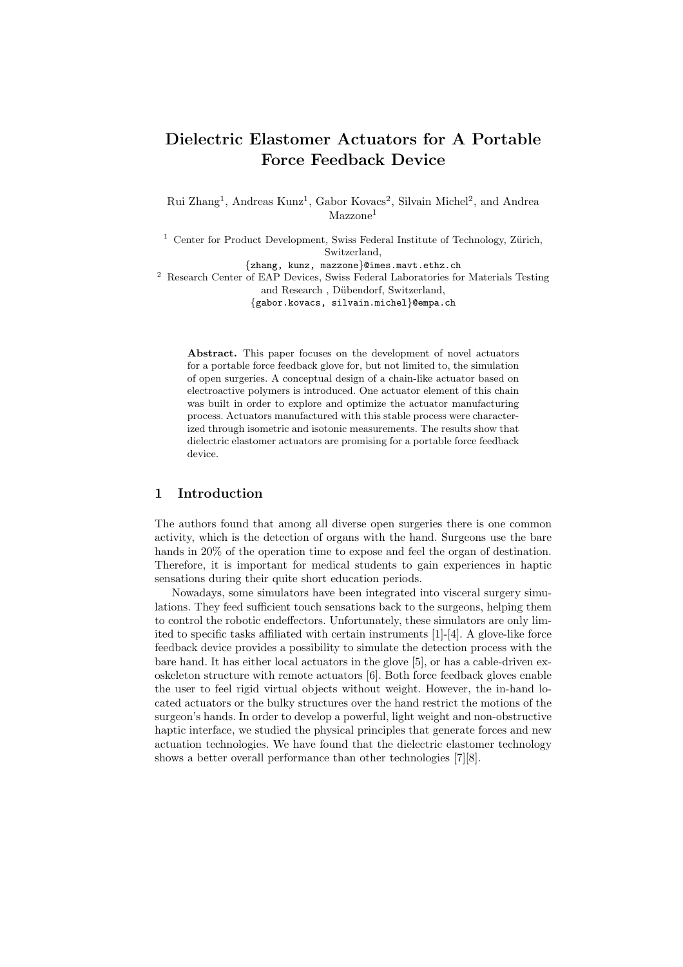# Dielectric Elastomer Actuators for A Portable Force Feedback Device

Rui Zhang<sup>1</sup>, Andreas Kunz<sup>1</sup>, Gabor Kovacs<sup>2</sup>, Silvain Michel<sup>2</sup>, and Andrea  $Mazzone<sup>1</sup>$ 

 $1$  Center for Product Development, Swiss Federal Institute of Technology, Zürich, Switzerland,

{zhang, kunz, mazzone}@imes.mavt.ethz.ch

<sup>2</sup> Research Center of EAP Devices, Swiss Federal Laboratories for Materials Testing and Research, Dübendorf, Switzerland,

{gabor.kovacs, silvain.michel}@empa.ch

Abstract. This paper focuses on the development of novel actuators for a portable force feedback glove for, but not limited to, the simulation of open surgeries. A conceptual design of a chain-like actuator based on electroactive polymers is introduced. One actuator element of this chain was built in order to explore and optimize the actuator manufacturing process. Actuators manufactured with this stable process were characterized through isometric and isotonic measurements. The results show that dielectric elastomer actuators are promising for a portable force feedback device.

### 1 Introduction

The authors found that among all diverse open surgeries there is one common activity, which is the detection of organs with the hand. Surgeons use the bare hands in 20% of the operation time to expose and feel the organ of destination. Therefore, it is important for medical students to gain experiences in haptic sensations during their quite short education periods.

Nowadays, some simulators have been integrated into visceral surgery simulations. They feed sufficient touch sensations back to the surgeons, helping them to control the robotic endeffectors. Unfortunately, these simulators are only limited to specific tasks affiliated with certain instruments [1]-[4]. A glove-like force feedback device provides a possibility to simulate the detection process with the bare hand. It has either local actuators in the glove [5], or has a cable-driven exoskeleton structure with remote actuators [6]. Both force feedback gloves enable the user to feel rigid virtual objects without weight. However, the in-hand located actuators or the bulky structures over the hand restrict the motions of the surgeon's hands. In order to develop a powerful, light weight and non-obstructive haptic interface, we studied the physical principles that generate forces and new actuation technologies. We have found that the dielectric elastomer technology shows a better overall performance than other technologies [7][8].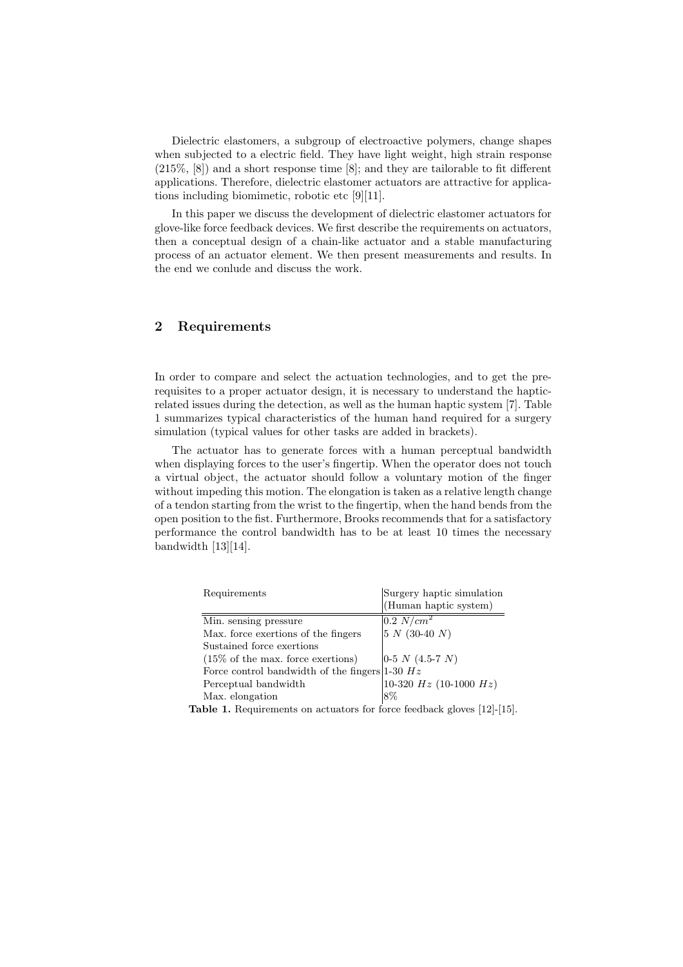Dielectric elastomers, a subgroup of electroactive polymers, change shapes when subjected to a electric field. They have light weight, high strain response (215%, [8]) and a short response time [8]; and they are tailorable to fit different applications. Therefore, dielectric elastomer actuators are attractive for applications including biomimetic, robotic etc [9][11].

In this paper we discuss the development of dielectric elastomer actuators for glove-like force feedback devices. We first describe the requirements on actuators, then a conceptual design of a chain-like actuator and a stable manufacturing process of an actuator element. We then present measurements and results. In the end we conlude and discuss the work.

### 2 Requirements

In order to compare and select the actuation technologies, and to get the prerequisites to a proper actuator design, it is necessary to understand the hapticrelated issues during the detection, as well as the human haptic system [7]. Table 1 summarizes typical characteristics of the human hand required for a surgery simulation (typical values for other tasks are added in brackets).

The actuator has to generate forces with a human perceptual bandwidth when displaying forces to the user's fingertip. When the operator does not touch a virtual object, the actuator should follow a voluntary motion of the finger without impeding this motion. The elongation is taken as a relative length change of a tendon starting from the wrist to the fingertip, when the hand bends from the open position to the fist. Furthermore, Brooks recommends that for a satisfactory performance the control bandwidth has to be at least 10 times the necessary bandwidth [13][14].

| Requirements                                       | Surgery haptic simulation      |
|----------------------------------------------------|--------------------------------|
|                                                    | (Human haptic system)          |
| Min. sensing pressure                              | $\left 0.2\right N/cm^2$       |
| Max. force exertions of the fingers                | $5 N (30-40 N)$                |
| Sustained force exertions                          |                                |
| $(15\% \text{ of the max. force excitons})$        | $ 0-5 N (4.5-7 N) $            |
| Force control bandwidth of the fingers $ 1-30 $ Hz |                                |
| Perceptual bandwidth                               | $10-320$ $Hz$ $(10-1000$ $Hz)$ |
| Max. elongation                                    | 8%                             |

Table 1. Requirements on actuators for force feedback gloves [12]-[15].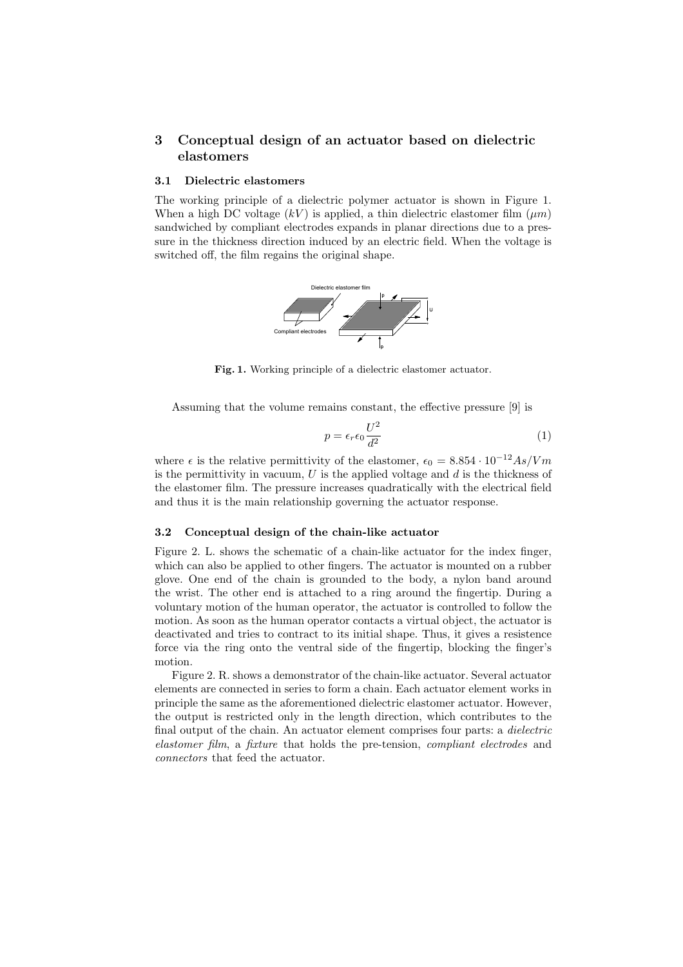## 3 Conceptual design of an actuator based on dielectric elastomers

#### 3.1 Dielectric elastomers

The working principle of a dielectric polymer actuator is shown in Figure 1. When a high DC voltage  $(kV)$  is applied, a thin dielectric elastomer film  $(\mu m)$ sandwiched by compliant electrodes expands in planar directions due to a pressure in the thickness direction induced by an electric field. When the voltage is switched off, the film regains the original shape.



Fig. 1. Working principle of a dielectric elastomer actuator.

Assuming that the volume remains constant, the effective pressure [9] is

$$
p = \epsilon_r \epsilon_0 \frac{U^2}{d^2} \tag{1}
$$

where  $\epsilon$  is the relative permittivity of the elastomer,  $\epsilon_0 = 8.854 \cdot 10^{-12} As/Vm$ is the permittivity in vacuum,  $U$  is the applied voltage and  $d$  is the thickness of the elastomer film. The pressure increases quadratically with the electrical field and thus it is the main relationship governing the actuator response.

### 3.2 Conceptual design of the chain-like actuator

Figure 2. L. shows the schematic of a chain-like actuator for the index finger, which can also be applied to other fingers. The actuator is mounted on a rubber glove. One end of the chain is grounded to the body, a nylon band around the wrist. The other end is attached to a ring around the fingertip. During a voluntary motion of the human operator, the actuator is controlled to follow the motion. As soon as the human operator contacts a virtual object, the actuator is deactivated and tries to contract to its initial shape. Thus, it gives a resistence force via the ring onto the ventral side of the fingertip, blocking the finger's motion.

Figure 2. R. shows a demonstrator of the chain-like actuator. Several actuator elements are connected in series to form a chain. Each actuator element works in principle the same as the aforementioned dielectric elastomer actuator. However, the output is restricted only in the length direction, which contributes to the final output of the chain. An actuator element comprises four parts: a *dielectric* elastomer film, a fixture that holds the pre-tension, compliant electrodes and connectors that feed the actuator.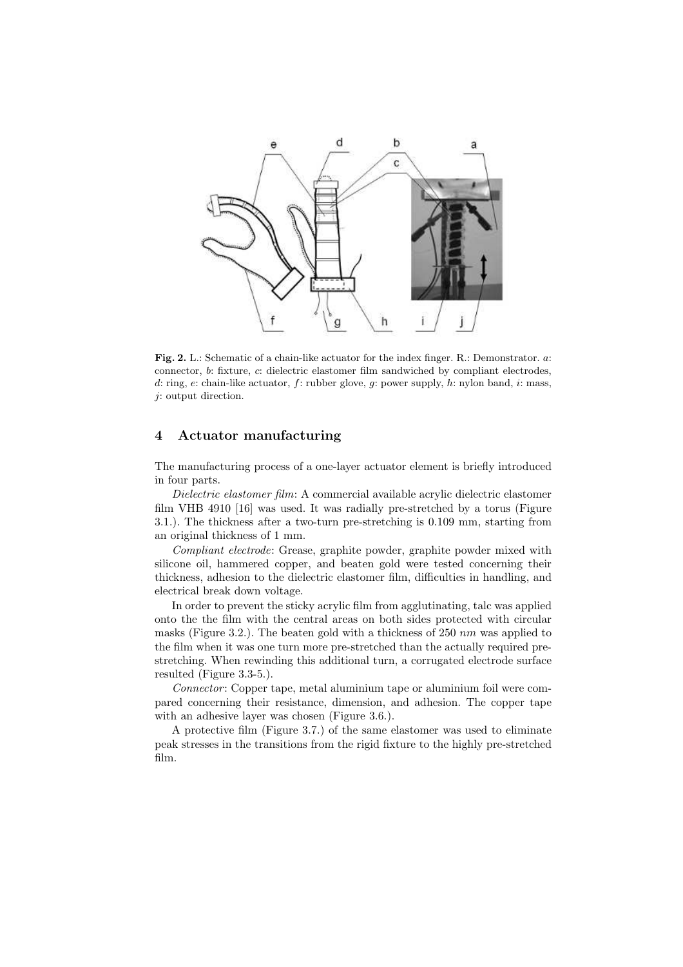

Fig. 2. L.: Schematic of a chain-like actuator for the index finger. R.: Demonstrator. a: connector, b: fixture, c: dielectric elastomer film sandwiched by compliant electrodes, d: ring, e: chain-like actuator, f: rubber glove, g: power supply, h: nylon band, i: mass, j: output direction.

# 4 Actuator manufacturing

The manufacturing process of a one-layer actuator element is briefly introduced in four parts.

Dielectric elastomer film: A commercial available acrylic dielectric elastomer film VHB 4910 [16] was used. It was radially pre-stretched by a torus (Figure 3.1.). The thickness after a two-turn pre-stretching is 0.109 mm, starting from an original thickness of 1 mm.

Compliant electrode: Grease, graphite powder, graphite powder mixed with silicone oil, hammered copper, and beaten gold were tested concerning their thickness, adhesion to the dielectric elastomer film, difficulties in handling, and electrical break down voltage.

In order to prevent the sticky acrylic film from agglutinating, talc was applied onto the the film with the central areas on both sides protected with circular masks (Figure 3.2.). The beaten gold with a thickness of 250  $nm$  was applied to the film when it was one turn more pre-stretched than the actually required prestretching. When rewinding this additional turn, a corrugated electrode surface resulted (Figure 3.3-5.).

Connector : Copper tape, metal aluminium tape or aluminium foil were compared concerning their resistance, dimension, and adhesion. The copper tape with an adhesive layer was chosen (Figure 3.6.).

A protective film (Figure 3.7.) of the same elastomer was used to eliminate peak stresses in the transitions from the rigid fixture to the highly pre-stretched film.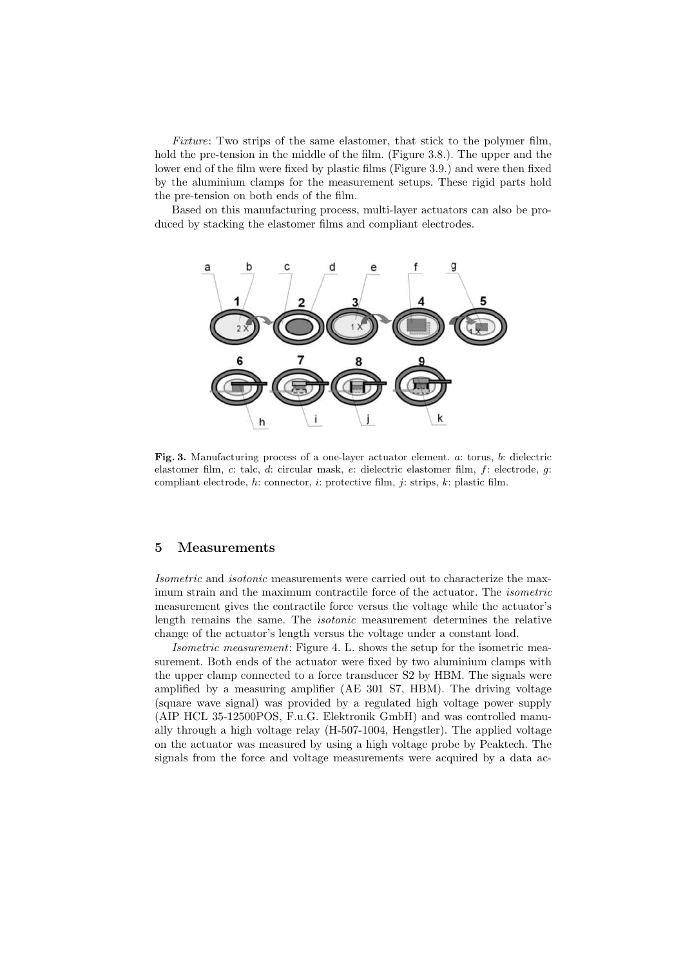Fixture: Two strips of the same elastomer, that stick to the polymer film, hold the pre-tension in the middle of the film. (Figure 3.8.). The upper and the lower end of the film were fixed by plastic films (Figure 3.9.) and were then fixed by the aluminium clamps for the measurement setups. These rigid parts hold the pre-tension on both ends of the film.

Based on this manufacturing process, multi-layer actuators can also be produced by stacking the elastomer films and compliant electrodes.



Fig. 3. Manufacturing process of a one-layer actuator element. a: torus, b: dielectric elastomer film, c: talc, d: circular mask, e: dielectric elastomer film, f: electrode, g: compliant electrode,  $h$ : connector,  $i$ : protective film,  $j$ : strips,  $k$ : plastic film.

### 5 Measurements

Isometric and isotonic measurements were carried out to characterize the maximum strain and the maximum contractile force of the actuator. The isometric measurement gives the contractile force versus the voltage while the actuator's length remains the same. The isotonic measurement determines the relative change of the actuator's length versus the voltage under a constant load.

Isometric measurement: Figure 4. L. shows the setup for the isometric measurement. Both ends of the actuator were fixed by two aluminium clamps with the upper clamp connected to a force transducer S2 by HBM. The signals were amplified by a measuring amplifier (AE 301 S7, HBM). The driving voltage (square wave signal) was provided by a regulated high voltage power supply (AIP HCL 35-12500POS, F.u.G. Elektronik GmbH) and was controlled manually through a high voltage relay (H-507-1004, Hengstler). The applied voltage on the actuator was measured by using a high voltage probe by Peaktech. The signals from the force and voltage measurements were acquired by a data ac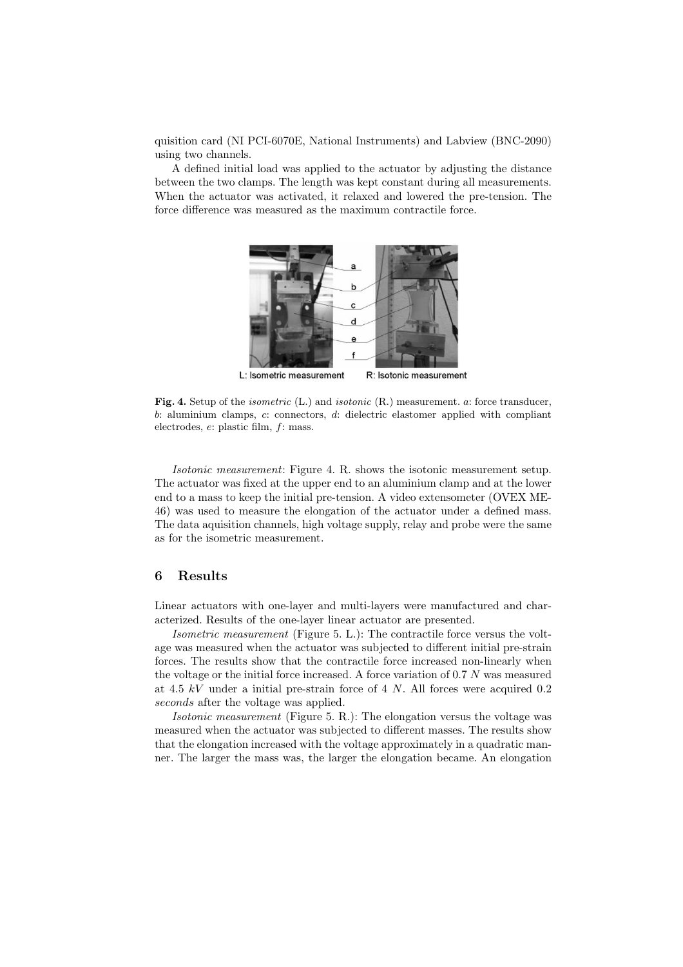quisition card (NI PCI-6070E, National Instruments) and Labview (BNC-2090) using two channels.

A defined initial load was applied to the actuator by adjusting the distance between the two clamps. The length was kept constant during all measurements. When the actuator was activated, it relaxed and lowered the pre-tension. The force difference was measured as the maximum contractile force.



Fig. 4. Setup of the *isometric* (L.) and *isotonic* (R.) measurement. a: force transducer, b: aluminium clamps, c: connectors, d: dielectric elastomer applied with compliant electrodes, e: plastic film, f: mass.

Isotonic measurement: Figure 4. R. shows the isotonic measurement setup. The actuator was fixed at the upper end to an aluminium clamp and at the lower end to a mass to keep the initial pre-tension. A video extensometer (OVEX ME-46) was used to measure the elongation of the actuator under a defined mass. The data aquisition channels, high voltage supply, relay and probe were the same as for the isometric measurement.

### 6 Results

Linear actuators with one-layer and multi-layers were manufactured and characterized. Results of the one-layer linear actuator are presented.

Isometric measurement (Figure 5. L.): The contractile force versus the voltage was measured when the actuator was subjected to different initial pre-strain forces. The results show that the contractile force increased non-linearly when the voltage or the initial force increased. A force variation of 0.7 N was measured at 4.5 kV under a initial pre-strain force of 4 N. All forces were acquired 0.2 seconds after the voltage was applied.

Isotonic measurement (Figure 5. R.): The elongation versus the voltage was measured when the actuator was subjected to different masses. The results show that the elongation increased with the voltage approximately in a quadratic manner. The larger the mass was, the larger the elongation became. An elongation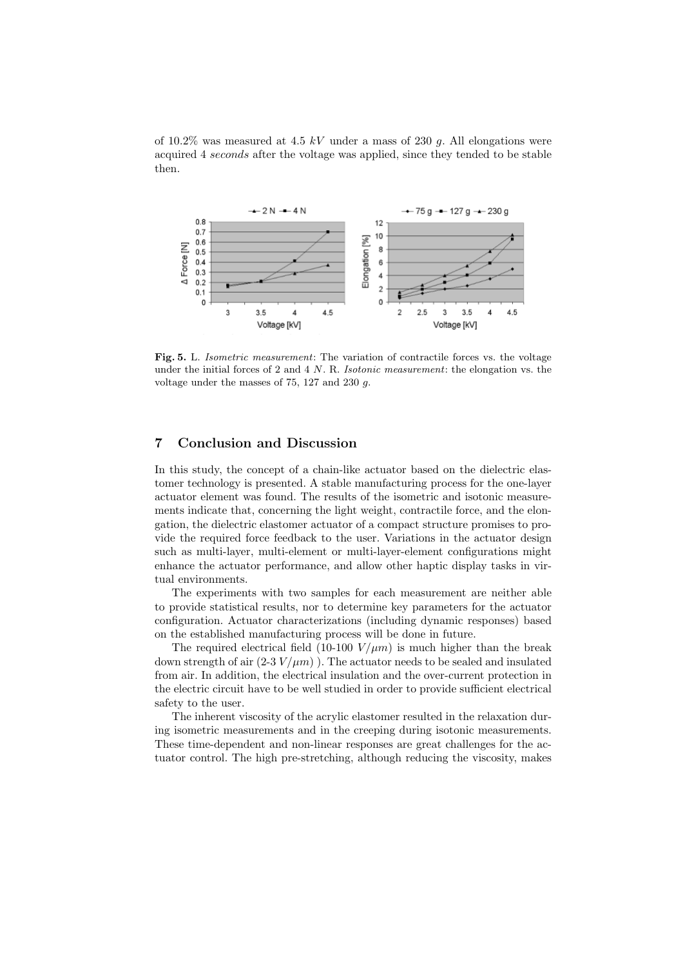of 10.2% was measured at 4.5 kV under a mass of 230 g. All elongations were acquired 4 seconds after the voltage was applied, since they tended to be stable then.



Fig. 5. L. Isometric measurement: The variation of contractile forces vs. the voltage under the initial forces of 2 and 4  $N$ . R. *Isotonic measurement*: the elongation vs. the voltage under the masses of 75, 127 and 230 g.

### 7 Conclusion and Discussion

In this study, the concept of a chain-like actuator based on the dielectric elastomer technology is presented. A stable manufacturing process for the one-layer actuator element was found. The results of the isometric and isotonic measurements indicate that, concerning the light weight, contractile force, and the elongation, the dielectric elastomer actuator of a compact structure promises to provide the required force feedback to the user. Variations in the actuator design such as multi-layer, multi-element or multi-layer-element configurations might enhance the actuator performance, and allow other haptic display tasks in virtual environments.

The experiments with two samples for each measurement are neither able to provide statistical results, nor to determine key parameters for the actuator configuration. Actuator characterizations (including dynamic responses) based on the established manufacturing process will be done in future.

The required electrical field (10-100  $V/\mu m$ ) is much higher than the break down strength of air  $(2-3 V/\mu m)$ . The actuator needs to be sealed and insulated from air. In addition, the electrical insulation and the over-current protection in the electric circuit have to be well studied in order to provide sufficient electrical safety to the user.

The inherent viscosity of the acrylic elastomer resulted in the relaxation during isometric measurements and in the creeping during isotonic measurements. These time-dependent and non-linear responses are great challenges for the actuator control. The high pre-stretching, although reducing the viscosity, makes